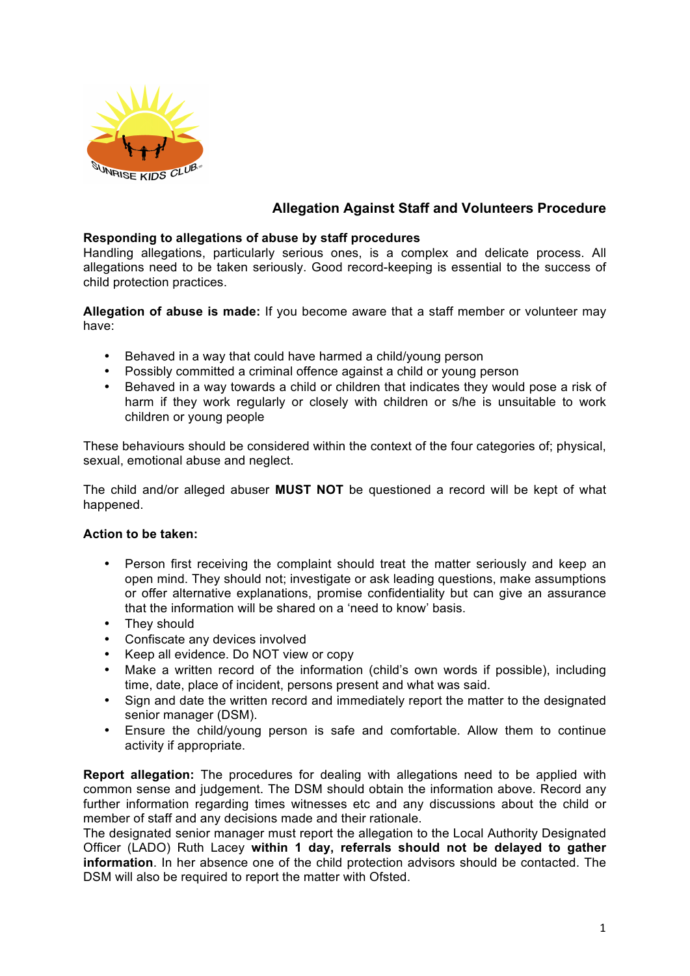

# **Allegation Against Staff and Volunteers Procedure**

### **Responding to allegations of abuse by staff procedures**

Handling allegations, particularly serious ones, is a complex and delicate process. All allegations need to be taken seriously. Good record-keeping is essential to the success of child protection practices.

**Allegation of abuse is made:** If you become aware that a staff member or volunteer may have:

- Behaved in a way that could have harmed a child/young person
- Possibly committed a criminal offence against a child or young person
- Behaved in a way towards a child or children that indicates they would pose a risk of harm if they work regularly or closely with children or s/he is unsuitable to work children or young people

These behaviours should be considered within the context of the four categories of; physical, sexual, emotional abuse and neglect.

The child and/or alleged abuser **MUST NOT** be questioned a record will be kept of what happened.

#### **Action to be taken:**

- Person first receiving the complaint should treat the matter seriously and keep an open mind. They should not; investigate or ask leading questions, make assumptions or offer alternative explanations, promise confidentiality but can give an assurance that the information will be shared on a 'need to know' basis.
- They should
- Confiscate any devices involved
- Keep all evidence. Do NOT view or copy
- Make a written record of the information (child's own words if possible), including time, date, place of incident, persons present and what was said.
- Sign and date the written record and immediately report the matter to the designated senior manager (DSM).
- Ensure the child/young person is safe and comfortable. Allow them to continue activity if appropriate.

**Report allegation:** The procedures for dealing with allegations need to be applied with common sense and judgement. The DSM should obtain the information above. Record any further information regarding times witnesses etc and any discussions about the child or member of staff and any decisions made and their rationale.

The designated senior manager must report the allegation to the Local Authority Designated Officer (LADO) Ruth Lacey **within 1 day, referrals should not be delayed to gather information**. In her absence one of the child protection advisors should be contacted. The DSM will also be required to report the matter with Ofsted.